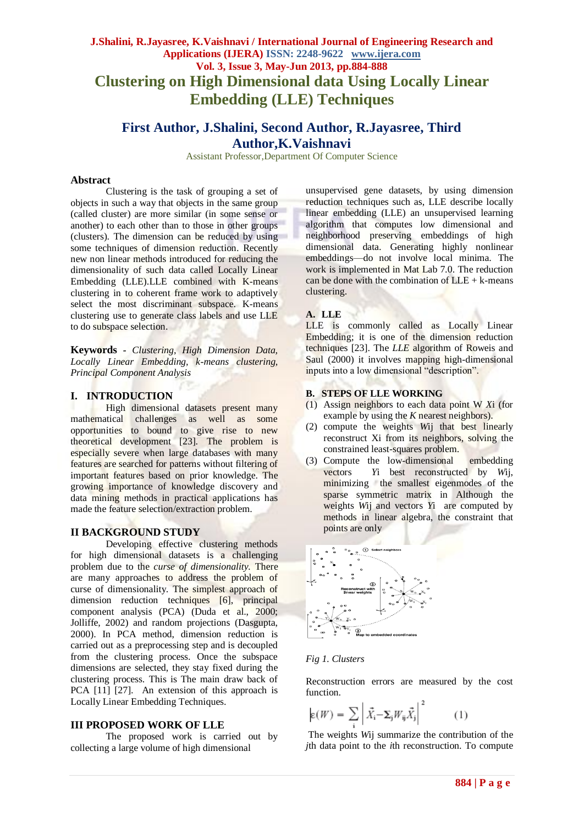# **J.Shalini, R.Jayasree, K.Vaishnavi / International Journal of Engineering Research and Applications (IJERA) ISSN: 2248-9622 www.ijera.com Vol. 3, Issue 3, May-Jun 2013, pp.884-888 Clustering on High Dimensional data Using Locally Linear Embedding (LLE) Techniques**

# **First Author, J.Shalini, Second Author, R.Jayasree, Third Author,K.Vaishnavi**

Assistant Professor,Department Of Computer Science

### **Abstract**

Clustering is the task of grouping a set of objects in such a way that objects in the same group (called cluster) are more similar (in some sense or another) to each other than to those in other groups (clusters). The dimension can be reduced by using some techniques of dimension reduction. Recently new non linear methods introduced for reducing the dimensionality of such data called Locally Linear Embedding (LLE).LLE combined with K-means clustering in to coherent frame work to adaptively select the most discriminant subspace. K-means clustering use to generate class labels and use LLE to do subspace selection.

**Keywords** *- Clustering, High Dimension Data, Locally Linear Embedding, k-means clustering, Principal Component Analysis*

### **I. INTRODUCTION**

High dimensional datasets present many mathematical challenges as well as some opportunities to bound to give rise to new theoretical development [23]. The problem is especially severe when large databases with many features are searched for patterns without filtering of important features based on prior knowledge. The growing importance of knowledge discovery and data mining methods in practical applications has made the feature selection/extraction problem.

# **II BACKGROUND STUDY**

Developing effective clustering methods for high dimensional datasets is a challenging problem due to the *curse of dimensionality.* There are many approaches to address the problem of curse of dimensionality. The simplest approach of dimension reduction techniques [6], principal component analysis (PCA) (Duda et al., 2000; Jolliffe, 2002) and random projections (Dasgupta, 2000). In PCA method, dimension reduction is carried out as a preprocessing step and is decoupled from the clustering process. Once the subspace dimensions are selected, they stay fixed during the clustering process. This is The main draw back of PCA [11] [27]. An extension of this approach is Locally Linear Embedding Techniques.

# **III PROPOSED WORK OF LLE**

The proposed work is carried out by collecting a large volume of high dimensional

unsupervised gene datasets, by using dimension reduction techniques such as, LLE describe locally linear embedding (LLE) an unsupervised learning algorithm that computes low dimensional and neighborhood preserving embeddings of high dimensional data. Generating highly nonlinear embeddings—do not involve local minima. The work is implemented in Mat Lab 7.0. The reduction can be done with the combination of  $LLE + k$ -means clustering.

## **A. LLE**

LLE is commonly called as Locally Linear Embedding; it is one of the dimension reduction techniques [23]. The *LLE* algorithm of Roweis and Saul (2000) it involves mapping high-dimensional inputs into a low dimensional "description".

# **B. STEPS OF LLE WORKING**

- (1) Assign neighbors to each data point W *X*i (for example by using the *K* nearest neighbors).
- (2) compute the weights *W*ij that best linearly reconstruct Xi from its neighbors, solving the constrained least-squares problem.
- (3) Compute the low-dimensional embedding vectors *Y*i best reconstructed by *W*ij, minimizing the smallest eigenmodes of the sparse symmetric matrix in Although the weights *W*ij and vectors *Y*i are computed by methods in linear algebra, the constraint that points are only



### *Fig 1. Clusters*

Reconstruction errors are measured by the cost function.

$$
\mathbf{E}(W) = \sum_{i} \left| \vec{X}_{i} - \mathbf{\Sigma}_{j} W_{ij} \vec{X}_{j} \right|^{2} \tag{1}
$$

The weights *W*ij summarize the contribution of the *j*th data point to the *i*th reconstruction. To compute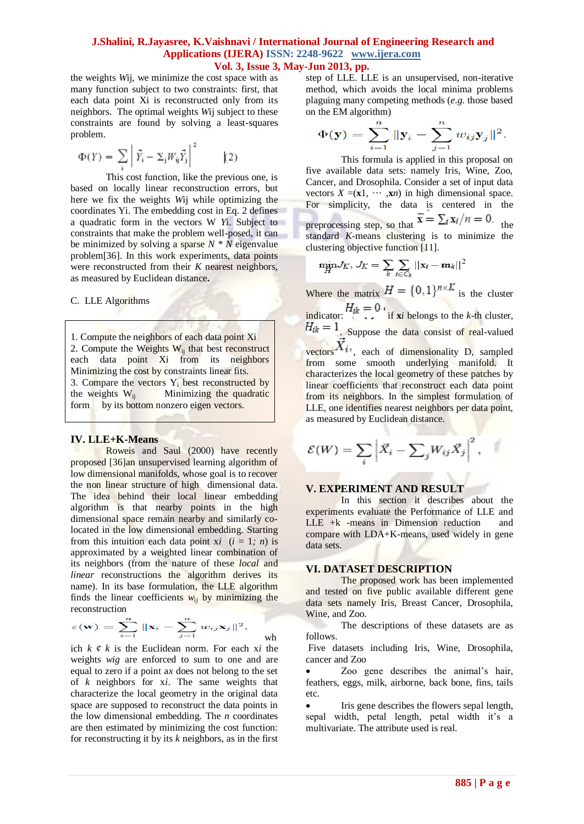the weights *W*ij, we minimize the cost space with as many function subject to two constraints: first, that each data point Xi is reconstructed only from its neighbors. The optimal weights *W*ij subject to these constraints are found by solving a least-squares problem.

$$
\Phi(Y) = \sum_{i} \left| \vec{Y}_i - \Sigma_j W_{ij} \vec{Y}_j \right|^2 \qquad (2)
$$

This cost function, like the previous one, is based on locally linear reconstruction errors, but here we fix the weights *W*ij while optimizing the coordinates Yi. The embedding cost in Eq. 2 defines a quadratic form in the vectors W *Y*i. Subject to constraints that make the problem well-posed, it can be minimized by solving a sparse  $N * N$  eigenvalue problem[36]. In this work experiments, data points were reconstructed from their *K* nearest neighbors, as measured by Euclidean distance**.**

#### C. LLE Algorithms

1. Compute the neighbors of each data point Xi 2. Compute the Weights Wij that best reconstruct each data point Xi from its neighbors Minimizing the cost by constraints linear fits. 3. Compare the vectors  $Y_i$  best reconstructed by the weights  $W_{ii}$  Minimizing the quadratic Minimizing the quadratic form by its bottom nonzero eigen vectors.

### **IV. LLE+K-Means**

Roweis and Saul (2000) have recently proposed [36]an unsupervised learning algorithm of low dimensional manifolds, whose goal is to recover the non linear structure of high dimensional data. The idea behind their local linear embedding algorithm is that nearby points in the high dimensional space remain nearby and similarly colocated in the low dimensional embedding. Starting from this intuition each data point  $xi$  ( $i = 1$ *; n*) is approximated by a weighted linear combination of its neighbors (from the nature of these *local* and *linear* reconstructions the algorithm derives its name). In its base formulation, the LLE algorithm finds the linear coefficients  $w_{ij}$  by minimizing the reconstruction

$$
\varepsilon(\mathbf{w}) = \sum_{i=1}^n \|\mathbf{x}_i - \sum_{j=1}^n w_{ij}\mathbf{x}_j\|^2,
$$

ich *k ¢ k* is the Euclidean norm. For each x*i* the weights *wig* are enforced to sum to one and are equal to zero if a point a*x* does not belong to the set of *k* neighbors for x*i*. The same weights that characterize the local geometry in the original data space are supposed to reconstruct the data points in the low dimensional embedding. The *n* coordinates are then estimated by minimizing the cost function: for reconstructing it by its *k* neighbors, as in the first

wh

step of LLE. LLE is an unsupervised, non-iterative method, which avoids the local minima problems plaguing many competing methods (*e.g.* those based on the EM algorithm)

$$
\Phi(\mathbf{y}) = \sum_{i=1}^{n} ||\mathbf{y}_i - \sum_{j=1}^{n} w_{ij} \mathbf{y}_j||^2.
$$

This formula is applied in this proposal on five available data sets: namely Iris, Wine, Zoo, Cancer, and Drosophila. Consider a set of input data vectors  $X = (\mathbf{x}1, \cdots, \mathbf{x}n)$  in high dimensional space. For simplicity, the data is centered in the preprocessing step, so that  $\tau = \frac{2}{\pi} a_{ij} n = 0$ . the standard *K*-means clustering is to minimize the clustering objective function [11].

$$
\min_{H} J_K, J_K = \sum_{k} \sum_{i \in C_k} ||\mathbf{x}_i - \mathbf{m}_k||^2
$$

Where the matrix  $H = \{0,1\}^{n \times K}$  is the cluster indicator:  $H_{ik} = 0$  **i x***i* belongs to the *k*-th cluster,  $H_{ik} = 1$ . Suppose the data consist of real-valued vectors  $\overrightarrow{X}_{i}$ , each of dimensionality D, sampled from some smooth underlying manifold. It characterizes the local geometry of these patches by linear coefficients that reconstruct each data point from its neighbors. In the simplest formulation of LLE, one identifies nearest neighbors per data point, as measured by Euclidean distance.

$$
\mathcal{E}(W) = \sum_{i} \left| \vec{X}_i - \sum_{j} W_{ij} \vec{X}_j \right|^2, \quad \blacksquare
$$

#### **V. EXPERIMENT AND RESULT**

In this section it describes about the experiments evaluate the Performance of LLE and LLE +k -means in Dimension reduction and compare with LDA+K-means, used widely in gene data sets.

#### **VI. DATASET DESCRIPTION**

The proposed work has been implemented and tested on five public available different gene data sets namely Iris, Breast Cancer, Drosophila, Wine, and Zoo.

The descriptions of these datasets are as follows.

Five datasets including Iris, Wine, Drosophila, cancer and Zoo

 Zoo gene describes the animal's hair, feathers, eggs, milk, airborne, back bone, fins, tails etc.

 Iris gene describes the flowers sepal length, sepal width, petal length, petal width it's a multivariate. The attribute used is real.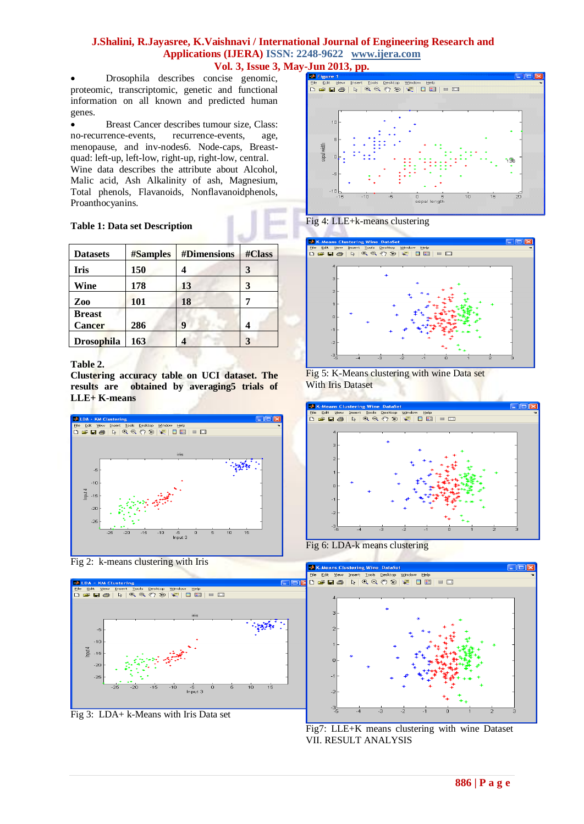Drosophila describes concise genomic, proteomic, transcriptomic, genetic and functional information on all known and predicted human genes.

 Breast Cancer describes tumour size, Class: no-recurrence-events, recurrence-events, age, menopause, and inv-nodes6. Node-caps, Breastquad: left-up, left-low, right-up, right-low, central. Wine data describes the attribute about Alcohol, Malic acid, Ash Alkalinity of ash, Magnesium, Total phenols, Flavanoids, Nonflavanoidphenols, Proanthocyanins.

# **Table 1: Data set Description**

| <b>Datasets</b>                | <b>#Samples</b> | #Dimensions | #Class |
|--------------------------------|-----------------|-------------|--------|
| Iris                           | 150             | 4           | 3      |
| Wine                           | 178             | 13          | 3      |
| Zoo                            | 101             | 18          |        |
| <b>Breast</b><br><b>Cancer</b> | 286             | 9           |        |
| <b>Drosophila</b>              | 163             | 4           | 3      |

# **Table 2.**

**Clustering accuracy table on UCI dataset. The results are obtained by averaging5 trials of LLE+ K-means**



# Fig 2: k-means clustering with Iris

![](_page_2_Figure_9.jpeg)

Fig 3: LDA+ k-Means with Iris Data set

![](_page_2_Figure_11.jpeg)

# Fig 4: LLE+k-means clustering

![](_page_2_Figure_13.jpeg)

![](_page_2_Figure_14.jpeg)

![](_page_2_Figure_15.jpeg)

Fig 6: LDA-k means clustering

![](_page_2_Figure_17.jpeg)

Fig7: LLE+K means clustering with wine Dataset VII. RESULT ANALYSIS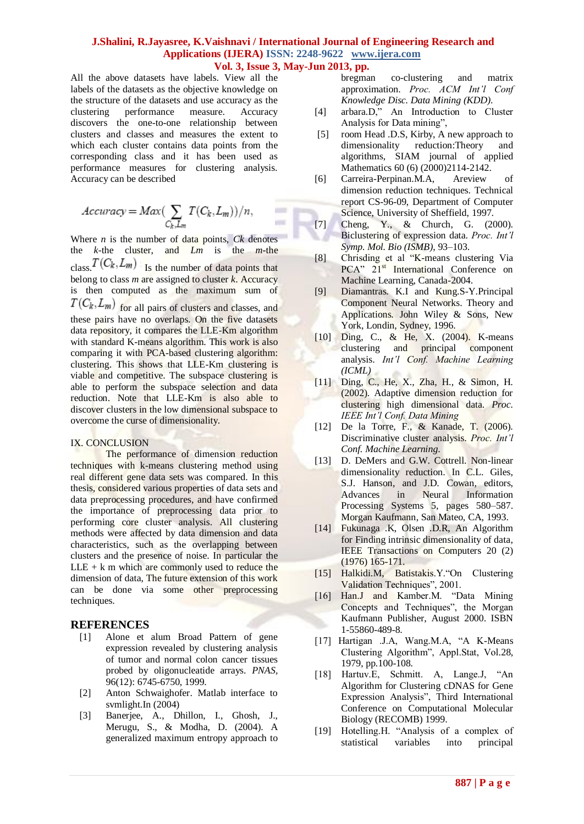$\equiv$ in a

All the above datasets have labels. View all the labels of the datasets as the objective knowledge on the structure of the datasets and use accuracy as the clustering performance measure. Accuracy discovers the one-to-one relationship between clusters and classes and measures the extent to which each cluster contains data points from the corresponding class and it has been used as performance measures for clustering analysis. Accuracy can be described

$$
Accuracy = Max(\sum_{C_k, L_m} T(C_k, L_m))/n,
$$

Where  $n$  is the number of data points,  $Ck$  denotes the *k*-the cluster, and *Lm* is the *m*-the class.  $T(C_k, L_m)$  Is the number of data points that belong to class *m* are assigned to cluster *k*. Accuracy is then computed as the maximum sum of  $T(C_k, L_m)$  for all pairs of clusters and classes, and these pairs have no overlaps. On the five datasets data repository, it compares the LLE-Km algorithm with standard K-means algorithm. This work is also comparing it with PCA-based clustering algorithm: clustering. This shows that LLE-Km clustering is viable and competitive. The subspace clustering is able to perform the subspace selection and data reduction. Note that LLE-Km is also able to discover clusters in the low dimensional subspace to overcome the curse of dimensionality.

### IX. CONCLUSION

The performance of dimension reduction techniques with k-means clustering method using real different gene data sets was compared. In this thesis, considered various properties of data sets and data preprocessing procedures, and have confirmed the importance of preprocessing data prior to performing core cluster analysis. All clustering methods were affected by data dimension and data characteristics, such as the overlapping between clusters and the presence of noise. In particular the  $LLE + k$  m which are commonly used to reduce the dimension of data, The future extension of this work can be done via some other preprocessing techniques.

### **REFERENCES**

- [1] Alone et alum Broad Pattern of gene expression revealed by clustering analysis of tumor and normal colon cancer tissues probed by oligonucleatide arrays. *PNAS,* 96(12): 6745-6750, 1999.
- [2] Anton Schwaighofer. Matlab interface to svmlight.In (2004)
- [3] Banerjee, A., Dhillon, I., Ghosh, J., Merugu, S., & Modha, D. (2004). A generalized maximum entropy approach to

bregman co-clustering and matrix approximation. *Proc. ACM Int'l Conf Knowledge Disc. Data Mining (KDD)*.

- [4] arbara.D," An Introduction to Cluster Analysis for Data mining",
- [5] room Head .D.S, Kirby, A new approach to dimensionality reduction:Theory and algorithms, SIAM journal of applied Mathematics 60 (6) (2000)2114-2142.
- [6] Carreira-Perpinan.M.A, Areview of dimension reduction techniques. Technical report CS-96-09, Department of Computer Science, University of Sheffield, 1997.
- [7] Cheng, Y., & Church, G. (2000). Biclustering of expression data. *Proc. Int'l Symp. Mol. Bio (ISMB)*, 93–103.
- [8] Chrisding et al "K-means clustering Via PCA<sup></sup> 21<sup>st</sup> International Conference on Machine Learning, Canada-2004.
- [9] Diamantras. K.I and Kung.S-Y.Principal Component Neural Networks. Theory and Applications. John Wiley & Sons, New York, Londin, Sydney, 1996.
- [10] Ding, C., & He, X. (2004). K-means clustering and principal component analysis. *Int'l Conf. Machine Learning (ICML)*
- [11] Ding, C., He, X., Zha, H., & Simon, H. (2002). Adaptive dimension reduction for clustering high dimensional data. *Proc. IEEE Int'l Conf. Data Mining*
- [12] De la Torre, F., & Kanade, T. (2006). Discriminative cluster analysis. *Proc. Int'l Conf. Machine Learning*.
- [13] D. DeMers and G.W. Cottrell. Non-linear dimensionality reduction. In C.L. Giles, S.J. Hanson, and J.D. Cowan, editors, Advances in Neural Information Processing Systems 5, pages 580–587. Morgan Kaufmann, San Mateo, CA, 1993.
- [14] Fukunaga .K, Olsen .D.R, An Algorithm for Finding intrinsic dimensionality of data, IEEE Transactions on Computers 20 (2) (1976) 165-171.
- [15] Halkidi.M, Batistakis.Y. "On Clustering Validation Techniques", 2001.
- [16] Han.J and Kamber.M. "Data Mining Concepts and Techniques", the Morgan Kaufmann Publisher, August 2000. ISBN 1-55860-489-8.
- [17] Hartigan .J.A, Wang.M.A, "A K-Means Clustering Algorithm", Appl.Stat, Vol.28, 1979, pp.100-108.
- [18] Hartuv.E, Schmitt. A, Lange.J, "An Algorithm for Clustering cDNAS for Gene Expression Analysis", Third International Conference on Computational Molecular Biology (RECOMB) 1999.
- [19] Hotelling.H. "Analysis of a complex of statistical variables into principal